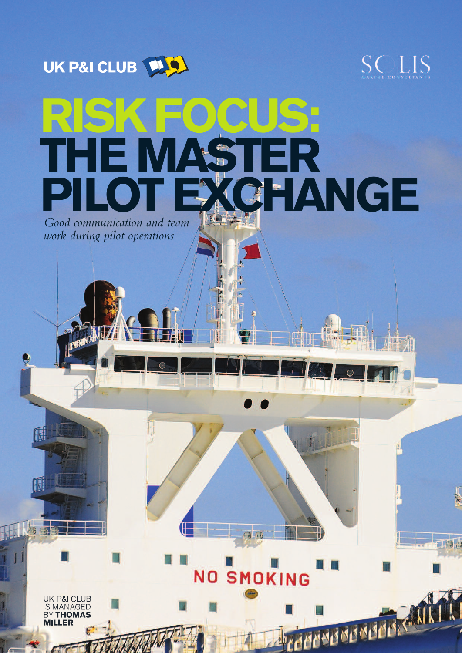



工商店

# **RISK FOCUS: THEMASTER P I L O T E XCHANGE**

Good communication and team *work during pilot operations*



REMARKADEMENT

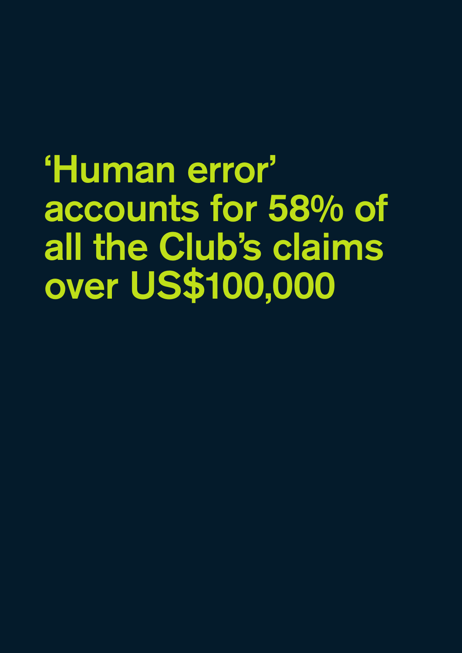'Human error' accounts for 58% of all the Club's claims over US\$100,000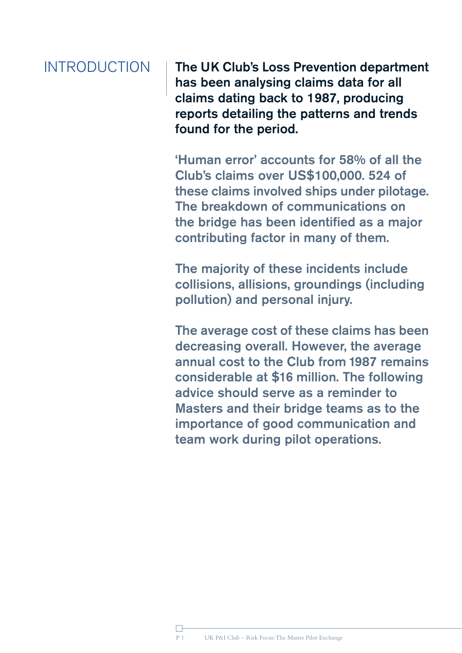## INTRODUCTION

The UK Club's Loss Prevention department has been analysing claims data for all claims dating back to 1987, producing reports detailing the patterns and trends found for the period.

'Human error' accounts for 58% of all the Club's claims over US\$100,000. 524 of these claims involved ships under pilotage. The breakdown of communications on the bridge has been identified as a major contributing factor in many of them.

The majority of these incidents include collisions, allisions, groundings (including pollution) and personal injury.

The average cost of these claims has been decreasing overall. However, the average annual cost to the Club from 1987 remains considerable at \$16 million. The following advice should serve as a reminder to Masters and their bridge teams as to the importance of good communication and team work during pilot operations.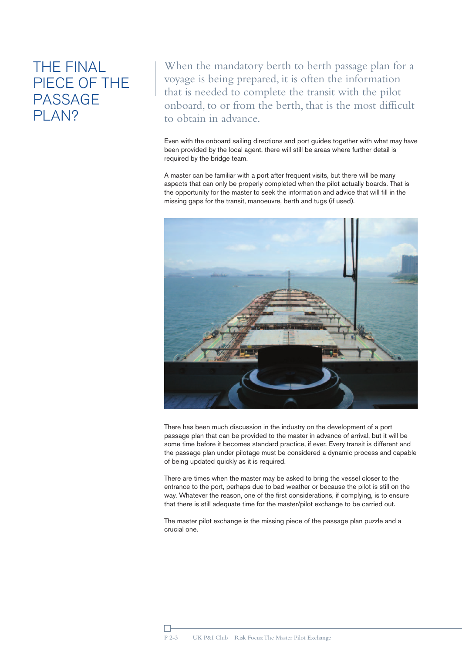## THE FINAL PIECE OF THE PASSAGE PLAN?

When the mandatory berth to berth passage plan for a voyage is being prepared, it is often the information that is needed to complete the transit with the pilot onboard, to or from the berth, that is the most difficult to obtain in advance.

Even with the onboard sailing directions and port guides together with what may have been provided by the local agent, there will still be areas where further detail is required by the bridge team.

A master can be familiar with a port after frequent visits, but there will be many aspects that can only be properly completed when the pilot actually boards. That is the opportunity for the master to seek the information and advice that will fill in the missing gaps for the transit, manoeuvre, berth and tugs (if used).



There has been much discussion in the industry on the development of a port passage plan that can be provided to the master in advance of arrival, but it will be some time before it becomes standard practice, if ever. Every transit is different and the passage plan under pilotage must be considered a dynamic process and capable of being updated quickly as it is required.

There are times when the master may be asked to bring the vessel closer to the entrance to the port, perhaps due to bad weather or because the pilot is still on the way. Whatever the reason, one of the first considerations, if complying, is to ensure that there is still adequate time for the master/pilot exchange to be carried out.

The master pilot exchange is the missing piece of the passage plan puzzle and a crucial one.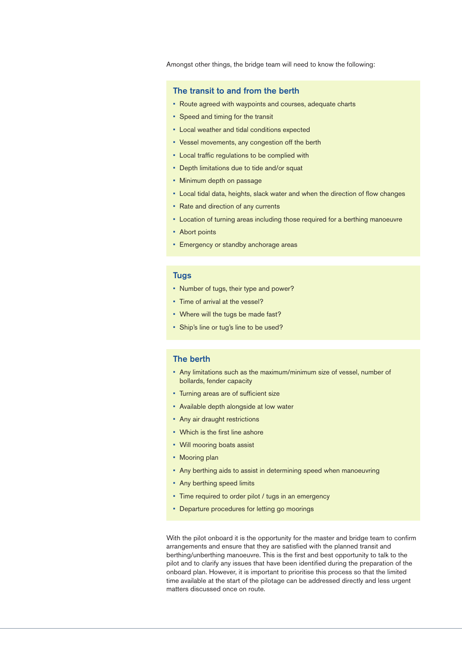Amongst other things, the bridge team will need to know the following:

### The transit to and from the berth

- Route agreed with waypoints and courses, adequate charts
- Speed and timing for the transit
- Local weather and tidal conditions expected
- Vessel movements, any congestion off the berth
- Local traffic regulations to be complied with
- Depth limitations due to tide and/or squat
- Minimum depth on passage
- Local tidal data, heights, slack water and when the direction of flow changes
- Rate and direction of any currents
- Location of turning areas including those required for a berthing manoeuvre
- Abort points
- Emergency or standby anchorage areas

### Tugs

- Number of tugs, their type and power?
- Time of arrival at the vessel?
- Where will the tugs be made fast?
- Ship's line or tug's line to be used?

### The berth

- Any limitations such as the maximum/minimum size of vessel, number of bollards, fender capacity
- Turning areas are of sufficient size
- Available depth alongside at low water
- Any air draught restrictions
- Which is the first line ashore
- Will mooring boats assist
- Mooring plan
- Any berthing aids to assist in determining speed when manoeuvring
- Any berthing speed limits
- Time required to order pilot / tugs in an emergency
- Departure procedures for letting go moorings

With the pilot onboard it is the opportunity for the master and bridge team to confirm arrangements and ensure that they are satisfied with the planned transit and berthing/unberthing manoeuvre. This is the first and best opportunity to talk to the pilot and to clarify any issues that have been identified during the preparation of the onboard plan. However, it is important to prioritise this process so that the limited time available at the start of the pilotage can be addressed directly and less urgent matters discussed once on route.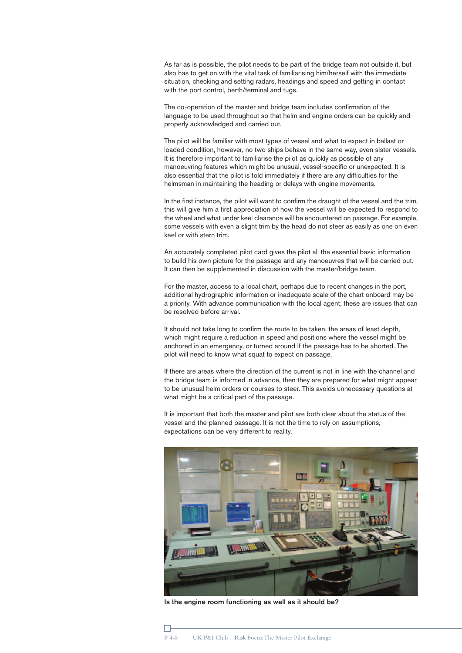As far as is possible, the pilot needs to be part of the bridge team not outside it, but also has to get on with the vital task of familiarising him/herself with the immediate situation, checking and setting radars, headings and speed and getting in contact with the port control, berth/terminal and tugs.

The co-operation of the master and bridge team includes confirmation of the language to be used throughout so that helm and engine orders can be quickly and properly acknowledged and carried out.

The pilot will be familiar with most types of vessel and what to expect in ballast or loaded condition, however, no two ships behave in the same way, even sister vessels. It is therefore important to familiarise the pilot as quickly as possible of any manoeuvring features which might be unusual, vessel-specific or unexpected. It is also essential that the pilot is told immediately if there are any difficulties for the helmsman in maintaining the heading or delays with engine movements.

In the first instance, the pilot will want to confirm the draught of the vessel and the trim, this will give him a first appreciation of how the vessel will be expected to respond to the wheel and what under keel clearance will be encountered on passage. For example, some vessels with even a slight trim by the head do not steer as easily as one on even keel or with stern trim.

An accurately completed pilot card gives the pilot all the essential basic information to build his own picture for the passage and any manoeuvres that will be carried out. It can then be supplemented in discussion with the master/bridge team.

For the master, access to a local chart, perhaps due to recent changes in the port, additional hydrographic information or inadequate scale of the chart onboard may be a priority. With advance communication with the local agent, these are issues that can be resolved before arrival.

It should not take long to confirm the route to be taken, the areas of least depth, which might require a reduction in speed and positions where the vessel might be anchored in an emergency, or turned around if the passage has to be aborted. The pilot will need to know what squat to expect on passage.

If there are areas where the direction of the current is not in line with the channel and the bridge team is informed in advance, then they are prepared for what might appear to be unusual helm orders or courses to steer. This avoids unnecessary questions at what might be a critical part of the passage.

It is important that both the master and pilot are both clear about the status of the vessel and the planned passage. It is not the time to rely on assumptions, expectations can be very different to reality.



Is the engine room functioning as well as it should be?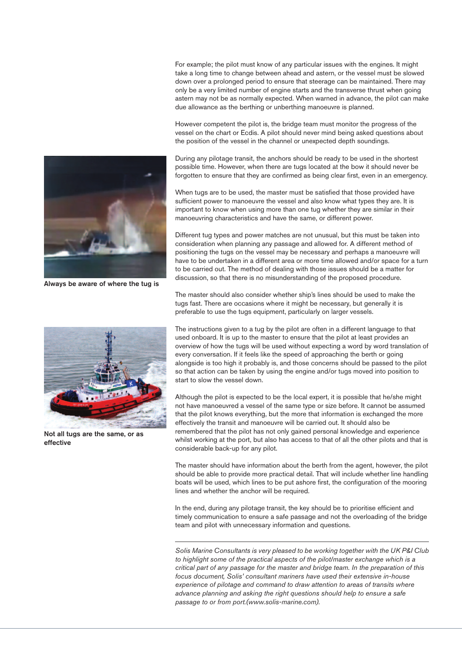For example; the pilot must know of any particular issues with the engines. It might take a long time to change between ahead and astern, or the vessel must be slowed down over a prolonged period to ensure that steerage can be maintained. There may only be a very limited number of engine starts and the transverse thrust when going astern may not be as normally expected. When warned in advance, the pilot can make due allowance as the berthing or unberthing manoeuvre is planned.

However competent the pilot is, the bridge team must monitor the progress of the vessel on the chart or Ecdis. A pilot should never mind being asked questions about the position of the vessel in the channel or unexpected depth soundings.

During any pilotage transit, the anchors should be ready to be used in the shortest possible time. However, when there are tugs located at the bow it should never be forgotten to ensure that they are confirmed as being clear first, even in an emergency.

When tugs are to be used, the master must be satisfied that those provided have sufficient power to manoeuvre the vessel and also know what types they are. It is important to know when using more than one tug whether they are similar in their manoeuvring characteristics and have the same, or different power.

Different tug types and power matches are not unusual, but this must be taken into consideration when planning any passage and allowed for. A different method of positioning the tugs on the vessel may be necessary and perhaps a manoeuvre will have to be undertaken in a different area or more time allowed and/or space for a turn to be carried out. The method of dealing with those issues should be a matter for discussion, so that there is no misunderstanding of the proposed procedure.

The master should also consider whether ship's lines should be used to make the tugs fast. There are occasions where it might be necessary, but generally it is preferable to use the tugs equipment, particularly on larger vessels.

The instructions given to a tug by the pilot are often in a different language to that used onboard. It is up to the master to ensure that the pilot at least provides an overview of how the tugs will be used without expecting a word by word translation of every conversation. If it feels like the speed of approaching the berth or going alongside is too high it probably is, and those concerns should be passed to the pilot so that action can be taken by using the engine and/or tugs moved into position to start to slow the vessel down.

Although the pilot is expected to be the local expert, it is possible that he/she might not have manoeuvred a vessel of the same type or size before. It cannot be assumed that the pilot knows everything, but the more that information is exchanged the more effectively the transit and manoeuvre will be carried out. It should also be remembered that the pilot has not only gained personal knowledge and experience whilst working at the port, but also has access to that of all the other pilots and that is considerable back-up for any pilot.

The master should have information about the berth from the agent, however, the pilot should be able to provide more practical detail. That will include whether line handling boats will be used, which lines to be put ashore first, the configuration of the mooring lines and whether the anchor will be required.

In the end, during any pilotage transit, the key should be to prioritise efficient and timely communication to ensure a safe passage and not the overloading of the bridge team and pilot with unnecessary information and questions.

*Solis Marine Consultants is very pleased to be working together with the UK P&I Club to highlight some of the practical aspects of the pilot/master exchange which is a critical part of any passage for the master and bridge team. In the preparation of this focus document, Solis' consultant mariners have used their extensive in-house experience of pilotage and command to draw attention to areas of transits where advance planning and asking the right questions should help to ensure a safe passage to or from port.(www.solis-marine.com).*





Not all tugs are the same, or as effective